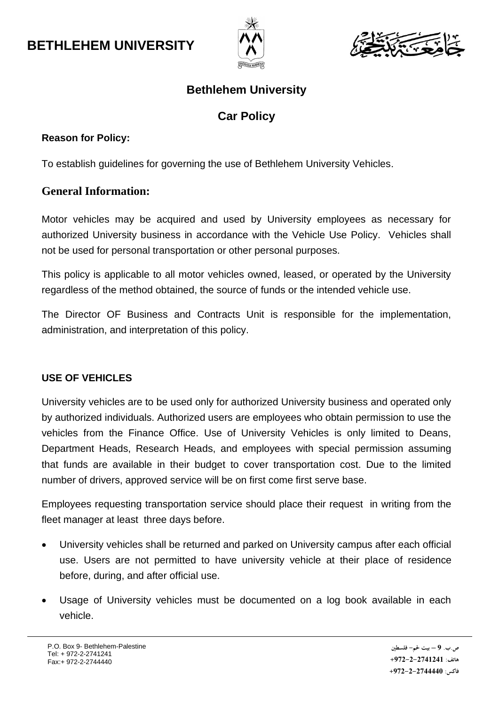



### **Bethlehem University**

## **Car Policy**

#### **Reason for Policy:**

To establish guidelines for governing the use of Bethlehem University Vehicles.

### **General Information:**

Motor vehicles may be acquired and used by University employees as necessary for authorized University business in accordance with the Vehicle Use Policy. Vehicles shall not be used for personal transportation or other personal purposes.

This policy is applicable to all motor vehicles owned, leased, or operated by the University regardless of the method obtained, the source of funds or the intended vehicle use.

The Director OF Business and Contracts Unit is responsible for the implementation, administration, and interpretation of this policy.

### **USE OF VEHICLES**

University vehicles are to be used only for authorized University business and operated only by authorized individuals. Authorized users are employees who obtain permission to use the vehicles from the Finance Office. Use of University Vehicles is only limited to Deans, Department Heads, Research Heads, and employees with special permission assuming that funds are available in their budget to cover transportation cost. Due to the limited number of drivers, approved service will be on first come first serve base.

Employees requesting transportation service should place their request in writing from the fleet manager at least three days before.

- University vehicles shall be returned and parked on University campus after each official use. Users are not permitted to have university vehicle at their place of residence before, during, and after official use.
- Usage of University vehicles must be documented on a log book available in each vehicle.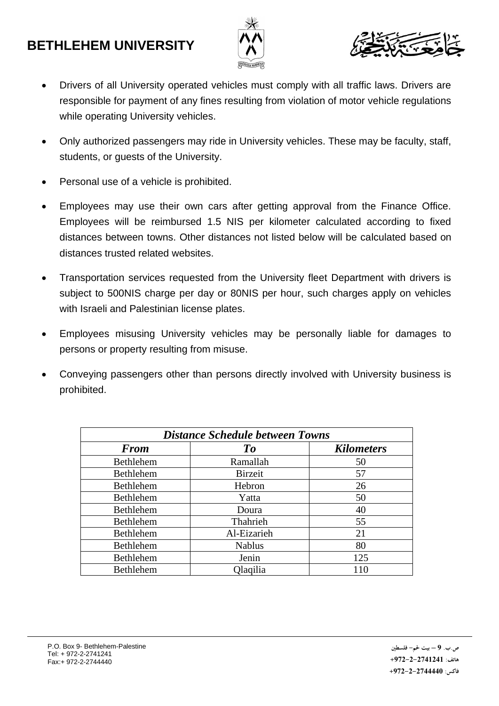# **BETHLEHEM UNIVERSITY**





- Drivers of all University operated vehicles must comply with all traffic laws. Drivers are responsible for payment of any fines resulting from violation of motor vehicle regulations while operating University vehicles.
- Only authorized passengers may ride in University vehicles. These may be faculty, staff, students, or guests of the University.
- Personal use of a vehicle is prohibited.
- Employees may use their own cars after getting approval from the Finance Office. Employees will be reimbursed 1.5 NIS per kilometer calculated according to fixed distances between towns. Other distances not listed below will be calculated based on distances trusted related websites.
- Transportation services requested from the University fleet Department with drivers is subject to 500NIS charge per day or 80NIS per hour, such charges apply on vehicles with Israeli and Palestinian license plates.
- Employees misusing University vehicles may be personally liable for damages to persons or property resulting from misuse.
- Conveying passengers other than persons directly involved with University business is prohibited.

| <b>Distance Schedule between Towns</b> |                |                   |  |
|----------------------------------------|----------------|-------------------|--|
| <b>From</b>                            | To             | <b>Kilometers</b> |  |
| Bethlehem                              | Ramallah       | 50                |  |
| Bethlehem                              | <b>Birzeit</b> | 57                |  |
| Bethlehem                              | Hebron         | 26                |  |
| Bethlehem                              | Yatta          | 50                |  |
| Bethlehem                              | Doura          | 40                |  |
| Bethlehem                              | Thahrieh       | 55                |  |
| Bethlehem                              | Al-Eizarieh    | 21                |  |
| Bethlehem                              | <b>Nablus</b>  | 80                |  |
| Bethlehem                              | Jenin          | 125               |  |
| <b>Bethlehem</b>                       | Qlaqilia       | 110               |  |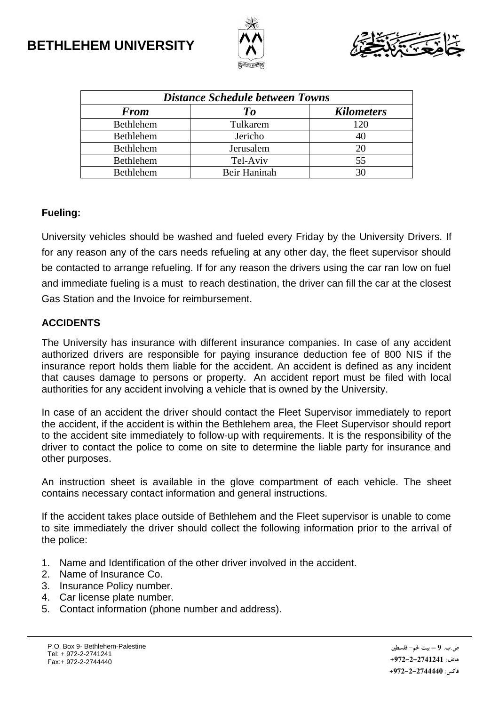



| <b>Distance Schedule between Towns</b> |              |                   |  |
|----------------------------------------|--------------|-------------------|--|
| <b>From</b>                            | To           | <b>Kilometers</b> |  |
| Bethlehem                              | Tulkarem     | 120               |  |
| Bethlehem                              | Jericho      |                   |  |
| Bethlehem                              | Jerusalem    | 20                |  |
| Bethlehem                              | Tel-Aviv     | 55                |  |
| <b>Bethlehem</b>                       | Beir Haninah |                   |  |

#### **Fueling:**

University vehicles should be washed and fueled every Friday by the University Drivers. If for any reason any of the cars needs refueling at any other day, the fleet supervisor should be contacted to arrange refueling. If for any reason the drivers using the car ran low on fuel and immediate fueling is a must to reach destination, the driver can fill the car at the closest Gas Station and the Invoice for reimbursement.

#### **ACCIDENTS**

The University has insurance with different insurance companies. In case of any accident authorized drivers are responsible for paying insurance deduction fee of 800 NIS if the insurance report holds them liable for the accident. An accident is defined as any incident that causes damage to persons or property. An accident report must be filed with local authorities for any accident involving a vehicle that is owned by the University.

In case of an accident the driver should contact the Fleet Supervisor immediately to report the accident, if the accident is within the Bethlehem area, the Fleet Supervisor should report to the accident site immediately to follow-up with requirements. It is the responsibility of the driver to contact the police to come on site to determine the liable party for insurance and other purposes.

An instruction sheet is available in the glove compartment of each vehicle. The sheet contains necessary contact information and general instructions.

If the accident takes place outside of Bethlehem and the Fleet supervisor is unable to come to site immediately the driver should collect the following information prior to the arrival of the police:

- 1. Name and Identification of the other driver involved in the accident.
- 2. Name of Insurance Co.
- 3. Insurance Policy number.
- 4. Car license plate number.
- 5. Contact information (phone number and address).